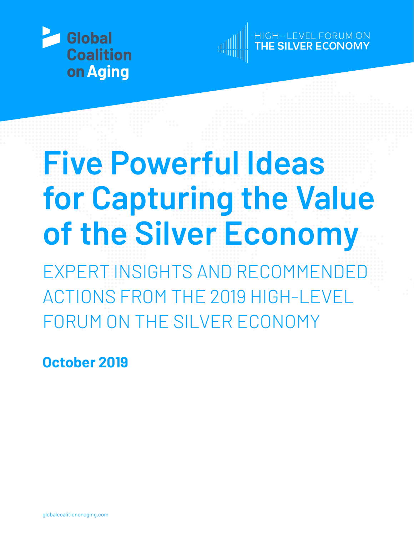



GH-LEVEL FORUM ON<br>**HE SILVER ECONOMY** 

# **Five Powerful Ideas for Capturing the Value of the Silver Economy**

EXPERT INSIGHTS AND RECOMMENDE ACTIONS FROM THE 2019 HIGH-LEVEL FORUM ON THE SILVER ECONOMY

**October 2019**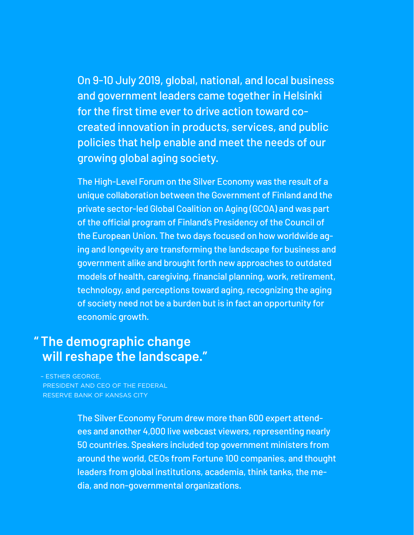On 9-10 July 2019, global, national, and local business and government leaders came together in Helsinki for the first time ever to drive action toward cocreated innovation in products, services, and public policies that help enable and meet the needs of our growing global aging society.

The High-Level Forum on the Silver Economy was the result of a unique collaboration between the Government of Finland and the private sector-led Global Coalition on Aging (GCOA) and was part of the official program of Finland's Presidency of the Council of the European Union. The two days focused on how worldwide aging and longevity are transforming the landscape for business and government alike and brought forth new approaches to outdated models of health, caregiving, financial planning, work, retirement, technology, and perceptions toward aging, recognizing the aging of society need not be a burden but is in fact an opportunity for economic growth.

### **The demographic change " will reshape the landscape."**

– ESTHER GEORGE, PRESIDENT AND CEO OF THE FEDERAL RESERVE BANK OF KANSAS CITY

> The Silver Economy Forum drew more than 600 expert attendees and another 4,000 live webcast viewers, representing nearly 50 countries. Speakers included top government ministers from around the world, CEOs from Fortune 100 companies, and thought leaders from global institutions, academia, think tanks, the media, and non-governmental organizations.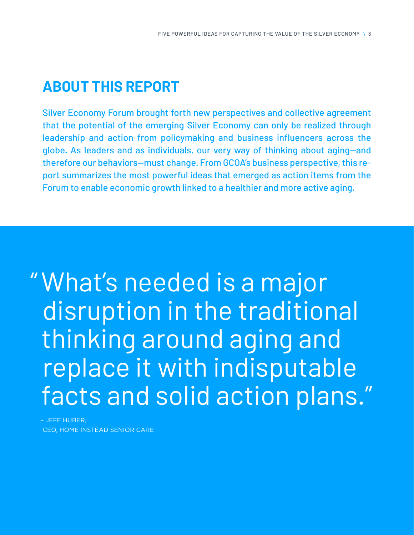## **ABOUT THIS REPORT**

Silver Economy Forum brought forth new perspectives and collective agreement that the potential of the emerging Silver Economy can only be realized through leadership and action from policymaking and business influencers across the globe. As leaders and as individuals, our very way of thinking about aging—and therefore our behaviors—must change. From GCOA's business perspective, this report summarizes the most powerful ideas that emerged as action items from the Forum to enable economic growth linked to a healthier and more active aging.

What's needed is a major "disruption in the traditional thinking around aging and replace it with indisputable facts and solid action plans."

– JEFF HUBER, CEO, HOME INSTEAD SENIOR CARE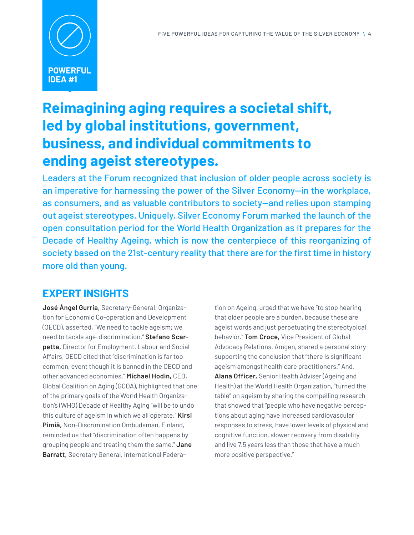

## **Reimagining aging requires a societal shift, led by global institutions, government, business, and individual commitments to ending ageist stereotypes.**

Leaders at the Forum recognized that inclusion of older people across society is an imperative for harnessing the power of the Silver Economy—in the workplace, as consumers, and as valuable contributors to society—and relies upon stamping out ageist stereotypes. Uniquely, Silver Economy Forum marked the launch of the open consultation period for the World Health Organization as it prepares for the Decade of Healthy Ageing, which is now the centerpiece of this reorganizing of society based on the 21st-century reality that there are for the first time in history more old than young.

#### **EXPERT INSIGHTS**

**José Ángel Gurria,** Secretary-General, Organization for Economic Co-operation and Development (OECD), asserted, "We need to tackle ageism; we need to tackle age-discrimination." **Stefano Scarpetta,** Director for Employment, Labour and Social Affairs, OECD cited that "discrimination is far too common, event though it is banned in the OECD and other advanced economies." **Michael Hodin,** CEO, Global Coalition on Aging (GCOA), highlighted that one of the primary goals of the World Health Organization's (WHO) Decade of Healthy Aging "will be to undo this culture of ageism in which we all operate." **Kirsi Pimiä,** Non-Discrimination Ombudsman, Finland, reminded us that "discrimination often happens by grouping people and treating them the same." **Jane Barratt,** Secretary General, International Federation on Ageing, urged that we have "to stop hearing that older people are a burden, because these are ageist words and just perpetuating the stereotypical behavior." **Tom Croce,** Vice President of Global Advocacy Relations, Amgen, shared a personal story supporting the conclusion that "there is significant ageism amongst health care practitioners." And, **Alana Officer,** Senior Health Adviser (Ageing and Health) at the World Health Organization, "turned the table" on ageism by sharing the compelling research that showed that "people who have negative perceptions about aging have increased cardiovascular responses to stress, have lower levels of physical and cognitive function, slower recovery from disability and live 7.5 years less than those that have a much more positive perspective."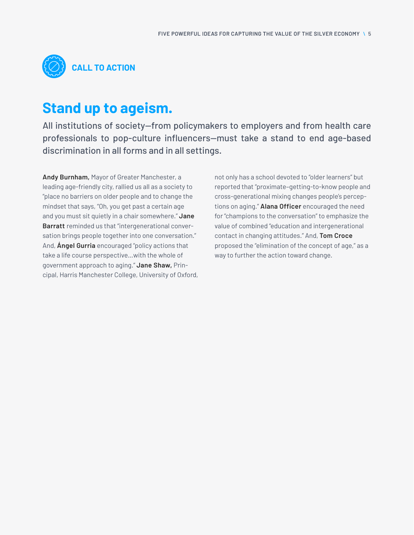

## **Stand up to ageism.**

All institutions of society—from policymakers to employers and from health care professionals to pop-culture influencers—must take a stand to end age-based discrimination in all forms and in all settings.

**Andy Burnham,** Mayor of Greater Manchester, a leading age-friendly city, rallied us all as a society to "place no barriers on older people and to change the mindset that says, "Oh, you get past a certain age and you must sit quietly in a chair somewhere." **Jane Barratt** reminded us that "intergenerational conversation brings people together into one conversation." And, **Ángel Gurria** encouraged "policy actions that take a life course perspective…with the whole of government approach to aging." **Jane Shaw,** Principal, Harris Manchester College, University of Oxford, not only has a school devoted to "older learners" but reported that "proximate–getting-to-know people and cross-generational mixing changes people's perceptions on aging." **Alana Officer** encouraged the need for "champions to the conversation" to emphasize the value of combined "education and intergenerational contact in changing attitudes." And, **Tom Croce** proposed the "elimination of the concept of age," as a way to further the action toward change.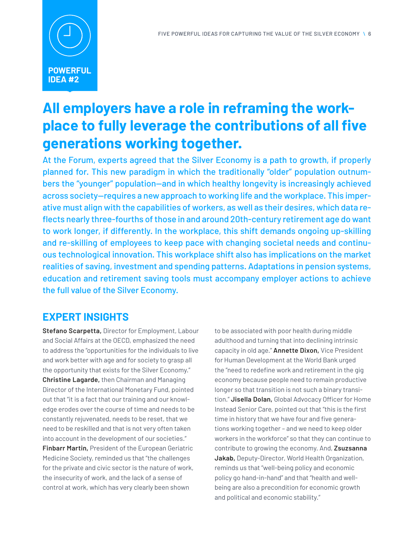

## **All employers have a role in reframing the workplace to fully leverage the contributions of all five generations working together.**

At the Forum, experts agreed that the Silver Economy is a path to growth, if properly planned for. This new paradigm in which the traditionally "older" population outnumbers the "younger" population—and in which healthy longevity is increasingly achieved across society—requires a new approach to working life and the workplace. This imperative must align with the capabilities of workers, as well as their desires, which data reflects nearly three-fourths of those in and around 20th-century retirement age do want to work longer, if differently. In the workplace, this shift demands ongoing up-skilling and re-skilling of employees to keep pace with changing societal needs and continuous technological innovation. This workplace shift also has implications on the market realities of saving, investment and spending patterns. Adaptations in pension systems, education and retirement saving tools must accompany employer actions to achieve the full value of the Silver Economy.

#### **EXPERT INSIGHTS**

**Stefano Scarpetta,** Director for Employment, Labour and Social Affairs at the OECD, emphasized the need to address the "opportunities for the individuals to live and work better with age and for society to grasp all the opportunity that exists for the Silver Economy." **Christine Lagarde,** then Chairman and Managing Director of the International Monetary Fund, pointed out that "it is a fact that our training and our knowledge erodes over the course of time and needs to be constantly rejuvenated, needs to be reset, that we need to be reskilled and that is not very often taken into account in the development of our societies." **Finbarr Martin,** President of the European Geriatric Medicine Society, reminded us that "the challenges for the private and civic sector is the nature of work, the insecurity of work, and the lack of a sense of

control at work, which has very clearly been shown

to be associated with poor health during middle adulthood and turning that into declining intrinsic capacity in old age." **Annette Dixon,** Vice President for Human Development at the World Bank urged the "need to redefine work and retirement in the gig economy because people need to remain productive longer so that transition is not such a binary transition." **Jisella Dolan,** Global Advocacy Officer for Home Instead Senior Care, pointed out that "this is the first time in history that we have four and five generations working together – and we need to keep older workers in the workforce" so that they can continue to contribute to growing the economy. And, **Zsuzsanna Jakab,** Deputy-Director, World Health Organization, reminds us that "well-being policy and economic policy go hand-in-hand" and that "health and wellbeing are also a precondition for economic growth and political and economic stability."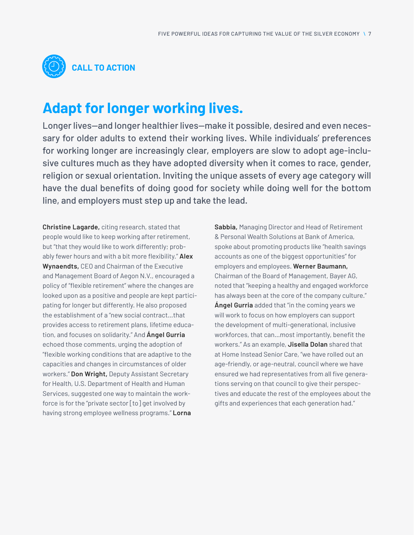

## **Adapt for longer working lives.**

Longer lives—and longer healthier lives—make it possible, desired and even necessary for older adults to extend their working lives. While individuals' preferences for working longer are increasingly clear, employers are slow to adopt age-inclusive cultures much as they have adopted diversity when it comes to race, gender, religion or sexual orientation. Inviting the unique assets of every age category will have the dual benefits of doing good for society while doing well for the bottom line, and employers must step up and take the lead.

**Christine Lagarde,** citing research, stated that people would like to keep working after retirement, but "that they would like to work differently; probably fewer hours and with a bit more flexibility." **Alex Wynaendts,** CEO and Chairman of the Executive and Management Board of Aegon N.V., encouraged a policy of "flexible retirement" where the changes are looked upon as a positive and people are kept participating for longer but differently. He also proposed the establishment of a "new social contract…that provides access to retirement plans, lifetime education, and focuses on solidarity." And **Ángel Gurria** echoed those comments, urging the adoption of "flexible working conditions that are adaptive to the capacities and changes in circumstances of older workers." **Don Wright,** Deputy Assistant Secretary for Health, U.S. Department of Health and Human Services, suggested one way to maintain the workforce is for the "private sector [to] get involved by having strong employee wellness programs." **Lorna** 

**Sabbia,** Managing Director and Head of Retirement & Personal Wealth Solutions at Bank of America, spoke about promoting products like "health savings accounts as one of the biggest opportunities" for employers and employees. **Werner Baumann,** Chairman of the Board of Management, Bayer AG, noted that "keeping a healthy and engaged workforce has always been at the core of the company culture." **Ángel Gurria** added that "in the coming years we will work to focus on how employers can support the development of multi-generational, inclusive workforces, that can…most importantly, benefit the workers." As an example, **Jisella Dolan** shared that at Home Instead Senior Care, "we have rolled out an age-friendly, or age-neutral, council where we have ensured we had representatives from all five generations serving on that council to give their perspectives and educate the rest of the employees about the gifts and experiences that each generation had."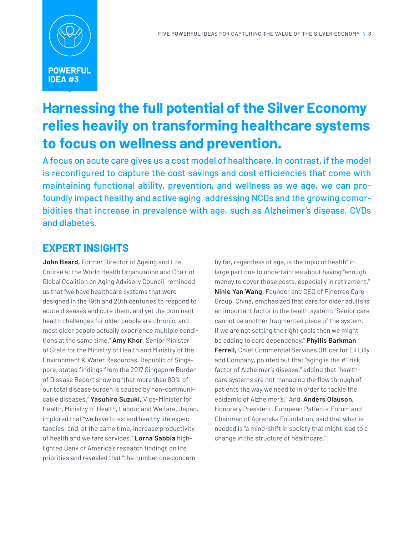

## **Harnessing the full potential of the Silver Economy relies heavily on transforming healthcare systems to focus on wellness and prevention.**

A focus on acute care gives us a cost model of healthcare. In contrast, if the model is reconfigured to capture the cost savings and cost efficiencies that come with maintaining functional ability, prevention, and wellness as we age, we can profoundly impact healthy and active aging, addressing NCDs and the growing comorbidities that increase in prevalence with age, such as Alzheimer's disease, CVDs and diabetes.

#### **EXPERT INSIGHTS**

**John Beard,** Former Director of Ageing and Life Course at the World Health Organization and Chair of Global Coalition on Aging Advisory Council, reminded us that "we have healthcare systems that were designed in the 19th and 20th centuries to respond to acute diseases and cure them, and yet the dominant health challenges for older people are chronic, and most older people actually experience multiple conditions at the same time." **Amy Khor,** Senior Minister of State for the Ministry of Health and Ministry of the Environment & Water Resources, Republic of Singapore, stated findings from the 2017 Singapore Burden of Disease Report showing "that more than 80% of our total disease burden is caused by non-communicable diseases." **Yasuhiro Suzuki,** Vice-Minister for Health, Ministry of Health, Labour and Welfare, Japan, implored that "we have to extend healthy life expectancies, and, at the same time, increase productivity of health and welfare services." **Lorna Sabbia** highlighted Bank of America's research findings on life priorities and revealed that "the number one concern

by far, regardless of age, is the topic of health" in large part due to uncertainties about having "enough money to cover those costs, especially in retirement." **Ninie Yan Wang,** Founder and CEO of Pinetree Care Group, China, emphasized that care for older adults is an important factor in the health system: "Senior care cannot be another fragmented piece of the system. If we are not setting the right goals then we might be adding to care dependency." **Phyllis Barkman Ferrell,** Chief Commercial Services Officer for Eli Lilly and Company, pointed out that "aging is the #1 risk factor of Alzheimer's disease," adding that "healthcare systems are not managing the flow through of patients the way we need to in order to tackle the epidemic of Alzheimer's." And, **Anders Olauson,** Honorary President, European Patients' Forum and Chairman of Agrenska Foundation, said that what is needed is "a mind-shift in society that might lead to a change in the structure of healthcare."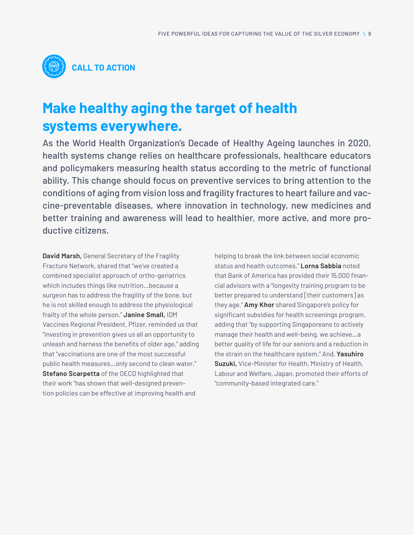

## **Make healthy aging the target of health systems everywhere.**

As the World Health Organization's Decade of Healthy Ageing launches in 2020, health systems change relies on healthcare professionals, healthcare educators and policymakers measuring health status according to the metric of functional ability. This change should focus on preventive services to bring attention to the conditions of aging from vision loss and fragility fractures to heart failure and vaccine-preventable diseases, where innovation in technology, new medicines and better training and awareness will lead to healthier, more active, and more productive citizens.

**David Marsh,** General Secretary of the Fragility Fracture Network, shared that "we've created a combined specialist approach of ortho-geriatrics which includes things like nutrition…because a surgeon has to address the fragility of the bone, but he is not skilled enough to address the physiological frailty of the whole person." **Janine Small,** IDM Vaccines Regional President, Pfizer, reminded us that "investing in prevention gives us all an opportunity to unleash and harness the benefits of older age," adding that "vaccinations are one of the most successful public health measures…only second to clean water." **Stefano Scarpetta** of the OECD highlighted that their work "has shown that well-designed prevention policies can be effective at improving health and

helping to break the link between social economic status and health outcomes." **Lorna Sabbia** noted that Bank of America has provided their 15,000 financial advisors with a "longevity training program to be better prepared to understand [their customers] as they age." **Amy Khor** shared Singapore's policy for significant subsidies for health screenings program, adding that "by supporting Singaporeans to actively manage their health and well-being, we achieve…a better quality of life for our seniors and a reduction in the strain on the healthcare system." And, **Yasuhiro Suzuki,** Vice-Minister for Health, Ministry of Health, Labour and Welfare, Japan, promoted their efforts of "community-based integrated care."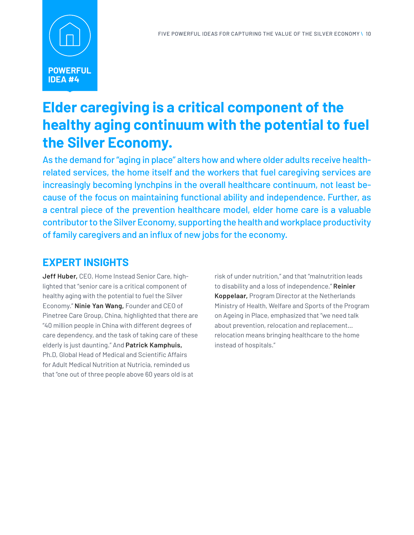

## **Elder caregiving is a critical component of the healthy aging continuum with the potential to fuel the Silver Economy.**

As the demand for "aging in place" alters how and where older adults receive healthrelated services, the home itself and the workers that fuel caregiving services are increasingly becoming lynchpins in the overall healthcare continuum, not least because of the focus on maintaining functional ability and independence. Further, as a central piece of the prevention healthcare model, elder home care is a valuable contributor to the Silver Economy, supporting the health and workplace productivity of family caregivers and an influx of new jobs for the economy.

#### **EXPERT INSIGHTS**

**Jeff Huber,** CEO, Home Instead Senior Care, highlighted that "senior care is a critical component of healthy aging with the potential to fuel the Silver Economy." **Ninie Yan Wang,** Founder and CEO of Pinetree Care Group, China, highlighted that there are "40 million people in China with different degrees of care dependency, and the task of taking care of these elderly is just daunting." And **Patrick Kamphuis,**  Ph.D, Global Head of Medical and Scientific Affairs for Adult Medical Nutrition at Nutricia, reminded us that "one out of three people above 60 years old is at

risk of under nutrition," and that "malnutrition leads to disability and a loss of independence." **Reinier Koppelaar,** Program Director at the Netherlands Ministry of Health, Welfare and Sports of the Program on Ageing in Place, emphasized that "we need talk about prevention, relocation and replacement… relocation means bringing healthcare to the home instead of hospitals."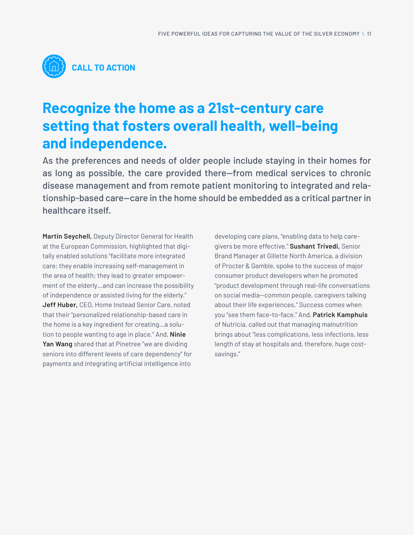

## **Recognize the home as a 21st-century care setting that fosters overall health, well-being and independence.**

As the preferences and needs of older people include staying in their homes for as long as possible, the care provided there—from medical services to chronic disease management and from remote patient monitoring to integrated and relationship-based care—care in the home should be embedded as a critical partner in healthcare itself.

**Martin Seychell,** Deputy Director General for Health at the European Commission, highlighted that digitally enabled solutions "facilitate more integrated care; they enable increasing self-management in the area of health; they lead to greater empowerment of the elderly…and can increase the possibility of independence or assisted living for the elderly." **Jeff Huber,** CEO, Home Instead Senior Care, noted that their "personalized relationship-based care in the home is a key ingredient for creating…a solution to people wanting to age in place." And, **Ninie Yan Wang** shared that at Pinetree "we are dividing seniors into different levels of care dependency" for payments and integrating artificial intelligence into

developing care plans, "enabling data to help caregivers be more effective." **Sushant Trivedi,** Senior Brand Manager at Gillette North America, a division of Procter & Gamble, spoke to the success of major consumer product developers when he promoted "product development through real-life conversations on social media—common people, caregivers talking about their life experiences." Success comes when you "see them face-to-face." And, **Patrick Kamphuis** of Nutricia, called out that managing malnutrition brings about "less complications, less infections, less length of stay at hospitals and, therefore, huge costsavings."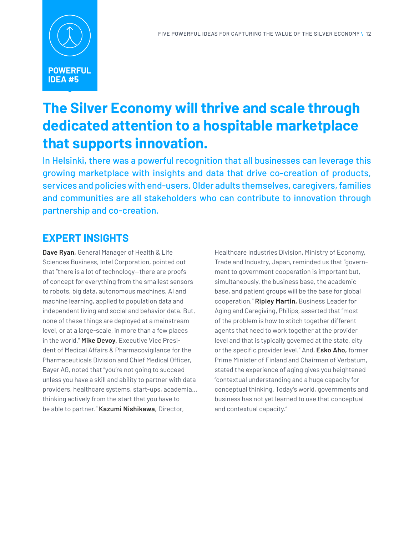

## **The Silver Economy will thrive and scale through dedicated attention to a hospitable marketplace that supports innovation.**

In Helsinki, there was a powerful recognition that all businesses can leverage this growing marketplace with insights and data that drive co-creation of products, services and policies with end-users. Older adults themselves, caregivers, families and communities are all stakeholders who can contribute to innovation through partnership and co-creation.

#### **EXPERT INSIGHTS**

**Dave Ryan,** General Manager of Health & Life Sciences Business, Intel Corporation, pointed out that "there is a lot of technology—there are proofs of concept for everything from the smallest sensors to robots, big data, autonomous machines, AI and machine learning, applied to population data and independent living and social and behavior data. But, none of these things are deployed at a mainstream level, or at a large-scale, in more than a few places in the world." **Mike Devoy,** Executive Vice President of Medical Affairs & Pharmacovigilance for the Pharmaceuticals Division and Chief Medical Officer, Bayer AG, noted that "you're not going to succeed unless you have a skill and ability to partner with data providers, healthcare systems, start-ups, academia… thinking actively from the start that you have to be able to partner." **Kazumi Nishikawa,** Director,

Healthcare Industries Division, Ministry of Economy, Trade and Industry, Japan, reminded us that "government to government cooperation is important but, simultaneously, the business base, the academic base, and patient groups will be the base for global cooperation." **Ripley Martin,** Business Leader for Aging and Caregiving, Philips, asserted that "most of the problem is how to stitch together different agents that need to work together at the provider level and that is typically governed at the state, city or the specific provider level." And, **Esko Aho,** former Prime Minister of Finland and Chairman of Verbatum, stated the experience of aging gives you heightened "contextual understanding and a huge capacity for conceptual thinking. Today's world, governments and business has not yet learned to use that conceptual and contextual capacity."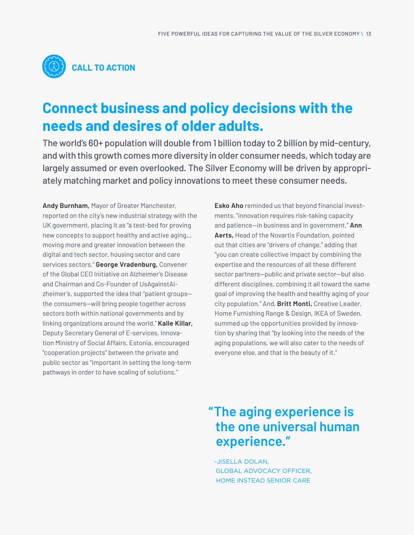

## **Connect business and policy decisions with the needs and desires of older adults.**

The world's 60+ population will double from 1 billion today to 2 billion by mid-century, and with this growth comes more diversity in older consumer needs, which today are largely assumed or even overlooked. The Silver Economy will be driven by appropriately matching market and policy innovations to meet these consumer needs.

**Andy Burnham,** Mayor of Greater Manchester, reported on the city's new industrial strategy with the UK government, placing it as "a test-bed for proving new concepts to support healthy and active aging… moving more and greater innovation between the digital and tech sector, housing sector and care services sectors." **George Vradenburg,** Convener of the Global CEO Initiative on Alzheimer's Disease and Chairman and Co-Founder of UsAgainstAlzheimer's, supported the idea that "patient groups the consumers—will bring people together across sectors both within national governments and by linking organizations around the world." **Kalle Killar,** Deputy Secretary General of E-services, Innovation Ministry of Social Affairs, Estonia, encouraged "cooperation projects" between the private and public sector as "important in setting the long-term pathways in order to have scaling of solutions."

**Esko Aho** reminded us that beyond financial investments, "innovation requires risk-taking capacity and patience—in business and in government." **Ann Aerts,** Head of the Novartis Foundation, pointed out that cities are "drivers of change," adding that "you can create collective impact by combining the expertise and the resources of all these different sector partners—public and private sector—but also different disciplines, combining it all toward the same goal of improving the health and healthy aging of your city population." And, **Britt Monti,** Creative Leader, Home Furnishing Range & Design, IKEA of Sweden, summed up the opportunities provided by innovation by sharing that "by looking into the needs of the aging populations, we will also cater to the needs of everyone else, and that is the beauty of it."

## **The aging experience is "the one universal human experience."**

–JISELLA DOLAN, GLOBAL ADVOCACY OFFICER, HOME INSTEAD SENIOR CARE